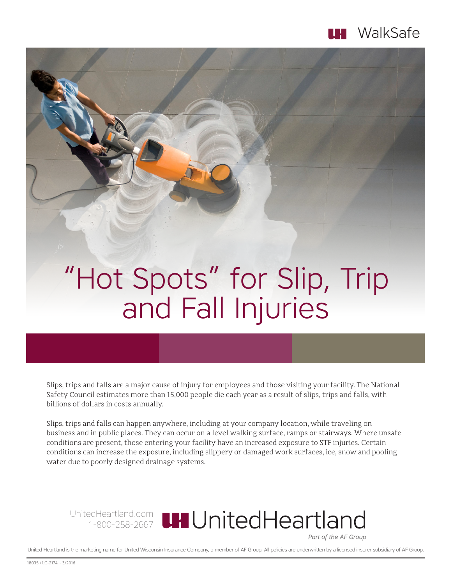

# "Hot Spots" for Slip, Trip and Fall Injuries

Slips, trips and falls are a major cause of injury for employees and those visiting your facility. The National Safety Council estimates more than 15,000 people die each year as a result of slips, trips and falls, with billions of dollars in costs annually.

Slips, trips and falls can happen anywhere, including at your company location, while traveling on business and in public places. They can occur on a level walking surface, ramps or stairways. Where unsafe conditions are present, those entering your facility have an increased exposure to STF injuries. Certain conditions can increase the exposure, including slippery or damaged work surfaces, ice, snow and pooling water due to poorly designed drainage systems.

UnitedHeartland.com 1-800-258-2667

Part of the AF Group

United Heartland is the marketing name for United Wisconsin Insurance Company, a member of AF Group. All policies are underwritten by a licensed insurer subsidiary of AF Group.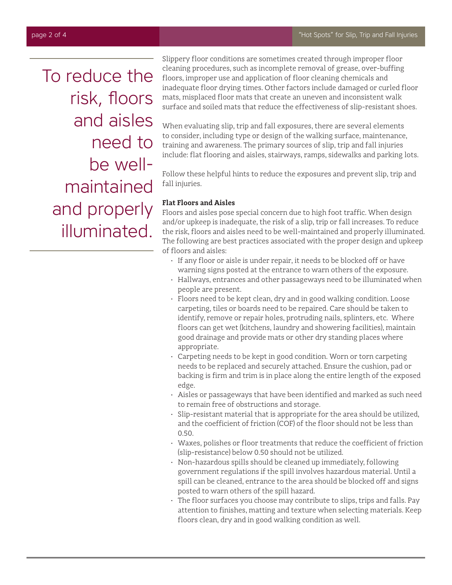To reduce the risk, floors and aisles need to be wellmaintained and properly illuminated.

Slippery floor conditions are sometimes created through improper floor cleaning procedures, such as incomplete removal of grease, over-buffing floors, improper use and application of floor cleaning chemicals and inadequate floor drying times. Other factors include damaged or curled floor mats, misplaced floor mats that create an uneven and inconsistent walk surface and soiled mats that reduce the effectiveness of slip-resistant shoes.

When evaluating slip, trip and fall exposures, there are several elements to consider, including type or design of the walking surface, maintenance, training and awareness. The primary sources of slip, trip and fall injuries include: flat flooring and aisles, stairways, ramps, sidewalks and parking lots.

Follow these helpful hints to reduce the exposures and prevent slip, trip and fall injuries.

# **Flat Floors and Aisles**

Floors and aisles pose special concern due to high foot traffic. When design and/or upkeep is inadequate, the risk of a slip, trip or fall increases. To reduce the risk, floors and aisles need to be well-maintained and properly illuminated. The following are best practices associated with the proper design and upkeep of floors and aisles:

- If any floor or aisle is under repair, it needs to be blocked off or have warning signs posted at the entrance to warn others of the exposure.
- Hallways, entrances and other passageways need to be illuminated when people are present.
- Floors need to be kept clean, dry and in good walking condition. Loose carpeting, tiles or boards need to be repaired. Care should be taken to identify, remove or repair holes, protruding nails, splinters, etc. Where floors can get wet (kitchens, laundry and showering facilities), maintain good drainage and provide mats or other dry standing places where appropriate.
- Carpeting needs to be kept in good condition. Worn or torn carpeting needs to be replaced and securely attached. Ensure the cushion, pad or backing is firm and trim is in place along the entire length of the exposed edge.
- • Aisles or passageways that have been identified and marked as such need to remain free of obstructions and storage.
- Slip-resistant material that is appropriate for the area should be utilized, and the coefficient of friction (COF) of the floor should not be less than 0.50.
- Waxes, polishes or floor treatments that reduce the coefficient of friction (slip-resistance) below 0.50 should not be utilized.
- $\cdot$  Non-hazardous spills should be cleaned up immediately, following government regulations if the spill involves hazardous material. Until a spill can be cleaned, entrance to the area should be blocked off and signs posted to warn others of the spill hazard.
- The floor surfaces you choose may contribute to slips, trips and falls. Pay attention to finishes, matting and texture when selecting materials. Keep floors clean, dry and in good walking condition as well.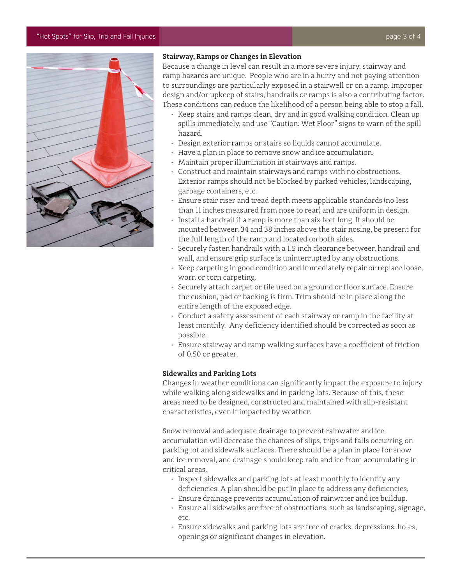## "Hot Spots" for Slip, Trip and Fall Injuries page 3 of 4



## **Stairway, Ramps or Changes in Elevation**

Because a change in level can result in a more severe injury, stairway and ramp hazards are unique. People who are in a hurry and not paying attention to surroundings are particularly exposed in a stairwell or on a ramp. Improper design and/or upkeep of stairs, handrails or ramps is also a contributing factor. These conditions can reduce the likelihood of a person being able to stop a fall.

- Keep stairs and ramps clean, dry and in good walking condition. Clean up spills immediately, and use "Caution: Wet Floor" signs to warn of the spill hazard.
- Design exterior ramps or stairs so liquids cannot accumulate.
- Have a plan in place to remove snow and ice accumulation.
- • Maintain proper illumination in stairways and ramps.
- Construct and maintain stairways and ramps with no obstructions. Exterior ramps should not be blocked by parked vehicles, landscaping, garbage containers, etc.
- Ensure stair riser and tread depth meets applicable standards (no less than 11 inches measured from nose to rear) and are uniform in design.
- Install a handrail if a ramp is more than six feet long. It should be mounted between 34 and 38 inches above the stair nosing, be present for the full length of the ramp and located on both sides.
- • Securely fasten handrails with a 1.5 inch clearance between handrail and wall, and ensure grip surface is uninterrupted by any obstructions.
- Keep carpeting in good condition and immediately repair or replace loose, worn or torn carpeting.
- Securely attach carpet or tile used on a ground or floor surface. Ensure the cushion, pad or backing is firm. Trim should be in place along the entire length of the exposed edge.
- $\cdot$  Conduct a safety assessment of each stairway or ramp in the facility at least monthly. Any deficiency identified should be corrected as soon as possible.
- Ensure stairway and ramp walking surfaces have a coefficient of friction of 0.50 or greater.

#### **Sidewalks and Parking Lots**

Changes in weather conditions can significantly impact the exposure to injury while walking along sidewalks and in parking lots. Because of this, these areas need to be designed, constructed and maintained with slip-resistant characteristics, even if impacted by weather.

Snow removal and adequate drainage to prevent rainwater and ice accumulation will decrease the chances of slips, trips and falls occurring on parking lot and sidewalk surfaces. There should be a plan in place for snow and ice removal, and drainage should keep rain and ice from accumulating in critical areas.

- Inspect sidewalks and parking lots at least monthly to identify any deficiencies. A plan should be put in place to address any deficiencies.
- • Ensure drainage prevents accumulation of rainwater and ice buildup.
- Ensure all sidewalks are free of obstructions, such as landscaping, signage, etc.
- Ensure sidewalks and parking lots are free of cracks, depressions, holes, openings or significant changes in elevation.